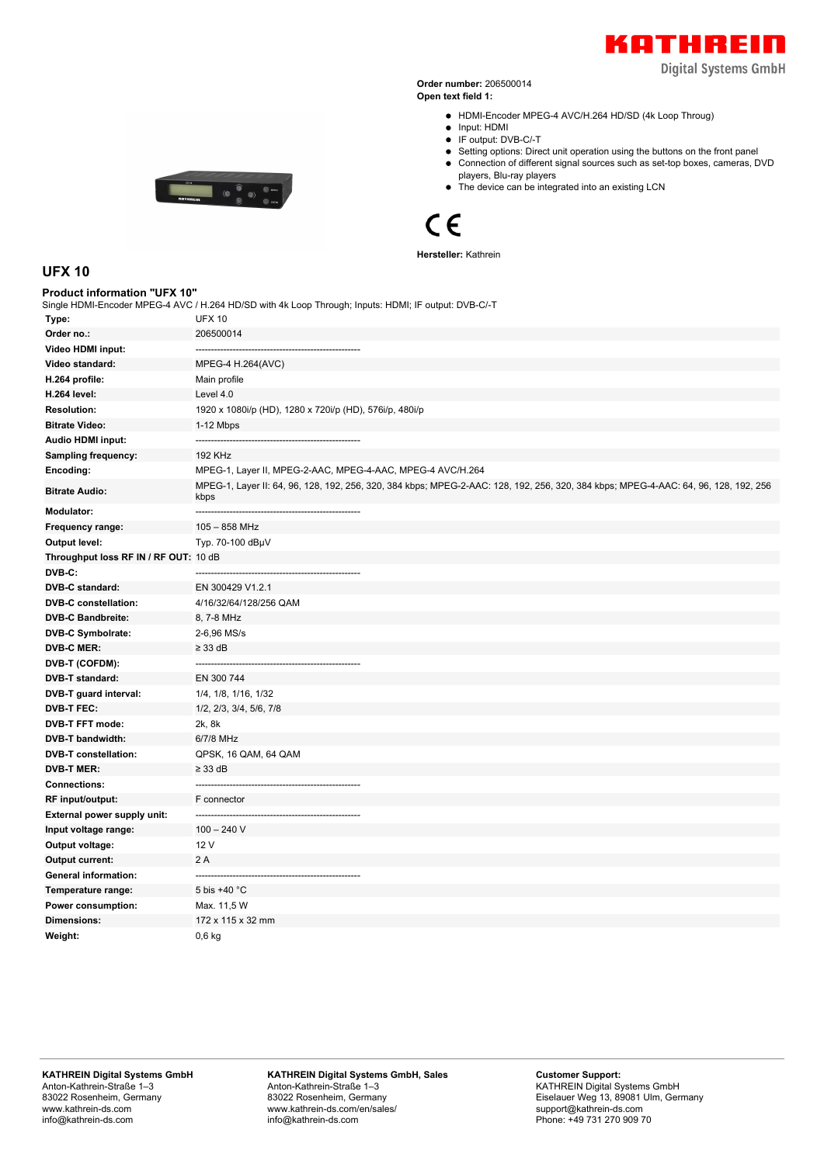

**Digital Systems GmbH** 

**Order number:** 206500014 **Open text field 1:**

- HDMI-Encoder MPEG-4 AVC/H.264 HD/SD (4k Loop Throug)
- $\bullet$  Input: HDMI
- IF output: DVB-C/-T
- Setting options: Direct unit operation using the buttons on the front panel Connection of different signal sources such as set-top boxes, cameras, DVD
- players, Blu-ray players
- The device can be integrated into an existing LCN

## $C \in$

**Hersteller:** Kathrein

|  |  | ___<br>___ |
|--|--|------------|
|  |  |            |
|  |  |            |
|  |  |            |
|  |  |            |
|  |  |            |
|  |  |            |
|  |  |            |
|  |  |            |
|  |  |            |
|  |  |            |
|  |  |            |
|  |  |            |
|  |  |            |
|  |  |            |

## **UFX 10**

| Product information "UFX 10"          | Single HDMI-Encoder MPEG-4 AVC / H.264 HD/SD with 4k Loop Through; Inputs: HDMI; IF output: DVB-C/-T                                        |
|---------------------------------------|---------------------------------------------------------------------------------------------------------------------------------------------|
| Type:                                 | <b>UFX 10</b>                                                                                                                               |
| Order no.:                            | 206500014                                                                                                                                   |
| Video HDMI input:                     |                                                                                                                                             |
| Video standard:                       | MPEG-4 H.264(AVC)                                                                                                                           |
| H.264 profile:                        | Main profile                                                                                                                                |
| <b>H.264 level:</b>                   | Level 4.0                                                                                                                                   |
| <b>Resolution:</b>                    | 1920 x 1080i/p (HD), 1280 x 720i/p (HD), 576i/p, 480i/p                                                                                     |
| <b>Bitrate Video:</b>                 | 1-12 Mbps                                                                                                                                   |
| <b>Audio HDMI input:</b>              | ---------------<br>--------------------------------------                                                                                   |
| <b>Sampling frequency:</b>            | <b>192 KHz</b>                                                                                                                              |
| Encoding:                             | MPEG-1, Layer II, MPEG-2-AAC, MPEG-4-AAC, MPEG-4 AVC/H.264                                                                                  |
| <b>Bitrate Audio:</b>                 | MPEG-1, Layer II: 64, 96, 128, 192, 256, 320, 384 kbps; MPEG-2-AAC: 128, 192, 256, 320, 384 kbps; MPEG-4-AAC: 64, 96, 128, 192, 256<br>kbps |
| <b>Modulator:</b>                     |                                                                                                                                             |
| Frequency range:                      | $105 - 858$ MHz                                                                                                                             |
| <b>Output level:</b>                  | Typ. 70-100 dBµV                                                                                                                            |
| Throughput loss RF IN / RF OUT: 10 dB |                                                                                                                                             |
| DVB-C:                                |                                                                                                                                             |
| <b>DVB-C standard:</b>                | EN 300429 V1.2.1                                                                                                                            |
| <b>DVB-C constellation:</b>           | 4/16/32/64/128/256 QAM                                                                                                                      |
| <b>DVB-C Bandbreite:</b>              | 8, 7-8 MHz                                                                                                                                  |
| <b>DVB-C Symbolrate:</b>              | 2-6,96 MS/s                                                                                                                                 |
| <b>DVB-C MER:</b>                     | $\geq$ 33 dB                                                                                                                                |
| DVB-T (COFDM):                        |                                                                                                                                             |
| DVB-T standard:                       | EN 300 744                                                                                                                                  |
| DVB-T guard interval:                 | 1/4, 1/8, 1/16, 1/32                                                                                                                        |
| <b>DVB-T FEC:</b>                     | 1/2, 2/3, 3/4, 5/6, 7/8                                                                                                                     |
| <b>DVB-T FFT mode:</b>                | 2k, 8k                                                                                                                                      |
| <b>DVB-T bandwidth:</b>               | 6/7/8 MHz                                                                                                                                   |
| <b>DVB-T</b> constellation:           | QPSK, 16 QAM, 64 QAM                                                                                                                        |
| <b>DVB-T MER:</b>                     | $\geq$ 33 dB                                                                                                                                |
| <b>Connections:</b>                   |                                                                                                                                             |
| RF input/output:                      | F connector                                                                                                                                 |
| <b>External power supply unit:</b>    |                                                                                                                                             |
| Input voltage range:                  | $100 - 240$ V                                                                                                                               |
| Output voltage:                       | 12 V                                                                                                                                        |
| Output current:                       | 2 A                                                                                                                                         |
| <b>General information:</b>           |                                                                                                                                             |
| Temperature range:                    | 5 bis +40 °C                                                                                                                                |
| Power consumption:                    | Max. 11,5 W                                                                                                                                 |
| Dimensions:                           | 172 x 115 x 32 mm                                                                                                                           |
| Weight:                               | 0.6 <sub>kg</sub>                                                                                                                           |